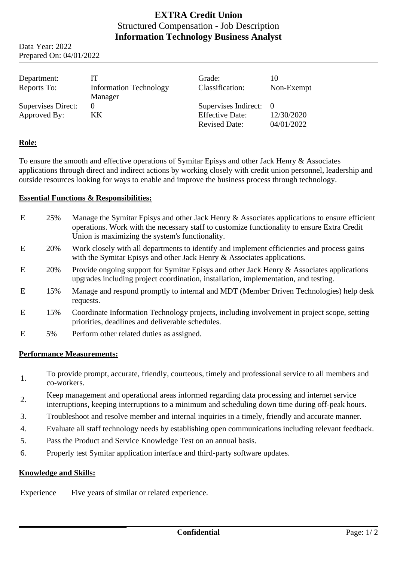# **EXTRA Credit Union** Structured Compensation - Job Description **Information Technology Business Analyst**

Data Year: 2022 Prepared On: 04/01/2022

| Department:<br>Reports To:         | ľТ<br><b>Information Technology</b><br>Manager | Grade:<br>Classification:                                                | 10<br>Non-Exempt         |
|------------------------------------|------------------------------------------------|--------------------------------------------------------------------------|--------------------------|
| Supervises Direct:<br>Approved By: | $\Omega$<br>KK.                                | Supervises Indirect: 0<br><b>Effective Date:</b><br><b>Revised Date:</b> | 12/30/2020<br>04/01/2022 |

### **Role:**

To ensure the smooth and effective operations of Symitar Episys and other Jack Henry & Associates applications through direct and indirect actions by working closely with credit union personnel, leadership and outside resources looking for ways to enable and improve the business process through technology.

#### **Essential Functions & Responsibilities:**

| E | 25% | Manage the Symitar Episys and other Jack Henry & Associates applications to ensure efficient<br>operations. Work with the necessary staff to customize functionality to ensure Extra Credit<br>Union is maximizing the system's functionality. |
|---|-----|------------------------------------------------------------------------------------------------------------------------------------------------------------------------------------------------------------------------------------------------|
| E | 20% | Work closely with all departments to identify and implement efficiencies and process gains<br>with the Symitar Episys and other Jack Henry & Associates applications.                                                                          |
| E | 20% | Provide ongoing support for Symitar Episys and other Jack Henry & Associates applications<br>upgrades including project coordination, installation, implementation, and testing.                                                               |
| E | 15% | Manage and respond promptly to internal and MDT (Member Driven Technologies) help desk<br>requests.                                                                                                                                            |
| E | 15% | Coordinate Information Technology projects, including involvement in project scope, setting<br>priorities, deadlines and deliverable schedules.                                                                                                |
| E | 5%  | Perform other related duties as assigned.                                                                                                                                                                                                      |

#### **Performance Measurements:**

- 1. To provide prompt, accurate, friendly, courteous, timely and professional service to all members and co-workers.
- 2. Keep management and operational areas informed regarding data processing and internet service interruptions, keeping interruptions to a minimum and scheduling down time during off-peak hours.
- 3. Troubleshoot and resolve member and internal inquiries in a timely, friendly and accurate manner.
- 4. Evaluate all staff technology needs by establishing open communications including relevant feedback.
- 5. Pass the Product and Service Knowledge Test on an annual basis.
- 6. Properly test Symitar application interface and third-party software updates.

#### **Knowledge and Skills:**

Experience Five years of similar or related experience.